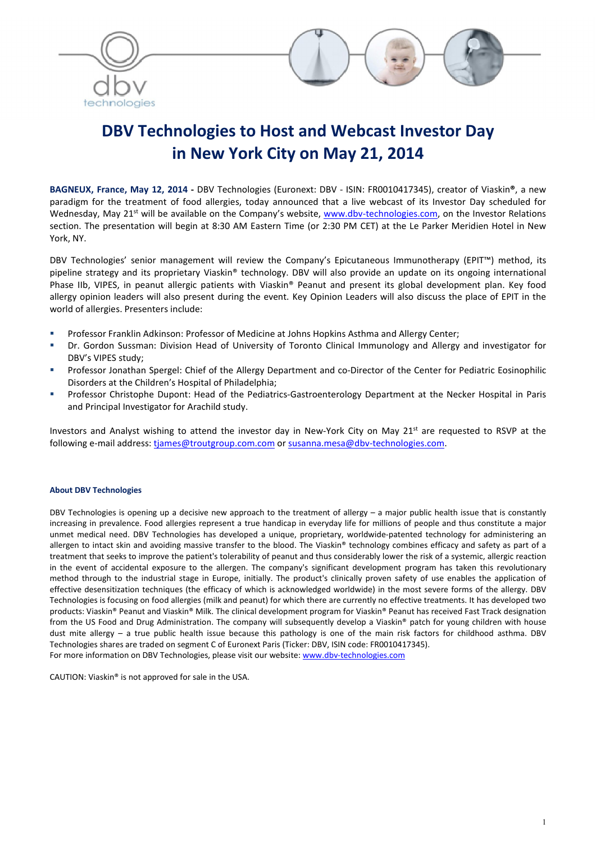

# DBV Technologies to Host and Webcast Investor Day in New York City on May 21, 2014

BAGNEUX, France, May 12, 2014 - DBV Technologies (Euronext: DBV - ISIN: FR0010417345), creator of Viaskin®, a new paradigm for the treatment of food allergies, today announced that a live webcast of its Investor Day scheduled for Wednesday, May 21<sup>st</sup> will be available on the Company's website, www.dbv-technologies.com, on the Investor Relations section. The presentation will begin at 8:30 AM Eastern Time (or 2:30 PM CET) at the Le Parker Meridien Hotel in New York, NY.

DBV Technologies' senior management will review the Company's Epicutaneous Immunotherapy (EPIT™) method, its pipeline strategy and its proprietary Viaskin® technology. DBV will also provide an update on its ongoing international Phase IIb, VIPES, in peanut allergic patients with Viaskin® Peanut and present its global development plan. Key food allergy opinion leaders will also present during the event. Key Opinion Leaders will also discuss the place of EPIT in the world of allergies. Presenters include:

- **Professor Franklin Adkinson: Professor of Medicine at Johns Hopkins Asthma and Allergy Center;**
- Dr. Gordon Sussman: Division Head of University of Toronto Clinical Immunology and Allergy and investigator for DBV's VIPES study;
- Professor Jonathan Spergel: Chief of the Allergy Department and co-Director of the Center for Pediatric Eosinophilic Disorders at the Children's Hospital of Philadelphia;
- Professor Christophe Dupont: Head of the Pediatrics-Gastroenterology Department at the Necker Hospital in Paris and Principal Investigator for Arachild study.

Investors and Analyst wishing to attend the investor day in New-York City on May 21<sup>st</sup> are requested to RSVP at the following e-mail address: tjames@troutgroup.com.com or susanna.mesa@dbv-technologies.com.

#### About DBV Technologies

DBV Technologies is opening up a decisive new approach to the treatment of allergy  $-$  a major public health issue that is constantly increasing in prevalence. Food allergies represent a true handicap in everyday life for millions of people and thus constitute a major unmet medical need. DBV Technologies has developed a unique, proprietary, worldwide-patented technology for administering an allergen to intact skin and avoiding massive transfer to the blood. The Viaskin® technology combines efficacy and safety as part of a treatment that seeks to improve the patient's tolerability of peanut and thus considerably lower the risk of a systemic, allergic reaction in the event of accidental exposure to the allergen. The company's significant development program has taken this revolutionary method through to the industrial stage in Europe, initially. The product's clinically proven safety of use enables the application of effective desensitization techniques (the efficacy of which is acknowledged worldwide) in the most severe forms of the allergy. DBV Technologies is focusing on food allergies (milk and peanut) for which there are currently no effective treatments. It has developed two products: Viaskin® Peanut and Viaskin® Milk. The clinical development program for Viaskin® Peanut has received Fast Track designation from the US Food and Drug Administration. The company will subsequently develop a Viaskin® patch for young children with house dust mite allergy – a true public health issue because this pathology is one of the main risk factors for childhood asthma. DBV Technologies shares are traded on segment C of Euronext Paris (Ticker: DBV, ISIN code: FR0010417345). For more information on DBV Technologies, please visit our website: www.dbv-technologies.com

CAUTION: Viaskin® is not approved for sale in the USA.